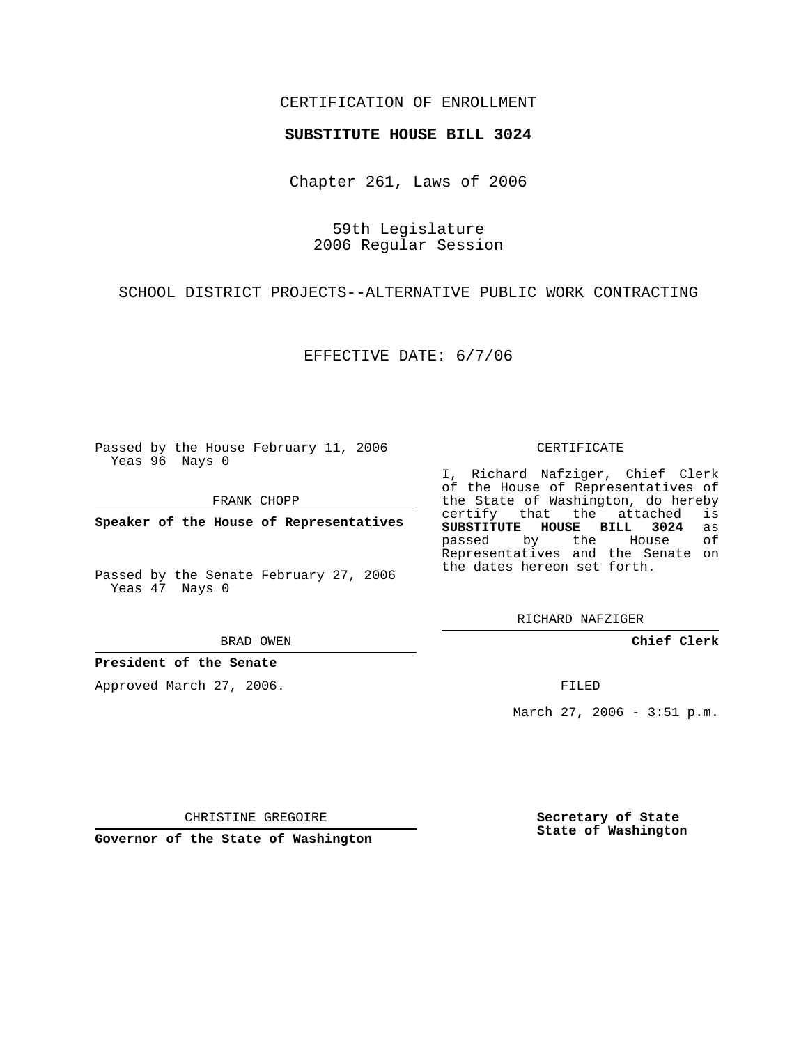## CERTIFICATION OF ENROLLMENT

## **SUBSTITUTE HOUSE BILL 3024**

Chapter 261, Laws of 2006

59th Legislature 2006 Regular Session

SCHOOL DISTRICT PROJECTS--ALTERNATIVE PUBLIC WORK CONTRACTING

EFFECTIVE DATE: 6/7/06

Passed by the House February 11, 2006 Yeas 96 Nays 0

FRANK CHOPP

**Speaker of the House of Representatives**

Passed by the Senate February 27, 2006 Yeas 47 Nays 0

BRAD OWEN

**President of the Senate**

Approved March 27, 2006.

CERTIFICATE

I, Richard Nafziger, Chief Clerk of the House of Representatives of the State of Washington, do hereby<br>certify that the attached is certify that the attached **SUBSTITUTE HOUSE BILL 3024** as passed by the House Representatives and the Senate on the dates hereon set forth.

RICHARD NAFZIGER

**Chief Clerk**

FILED

March 27, 2006 - 3:51 p.m.

CHRISTINE GREGOIRE

**Governor of the State of Washington**

**Secretary of State State of Washington**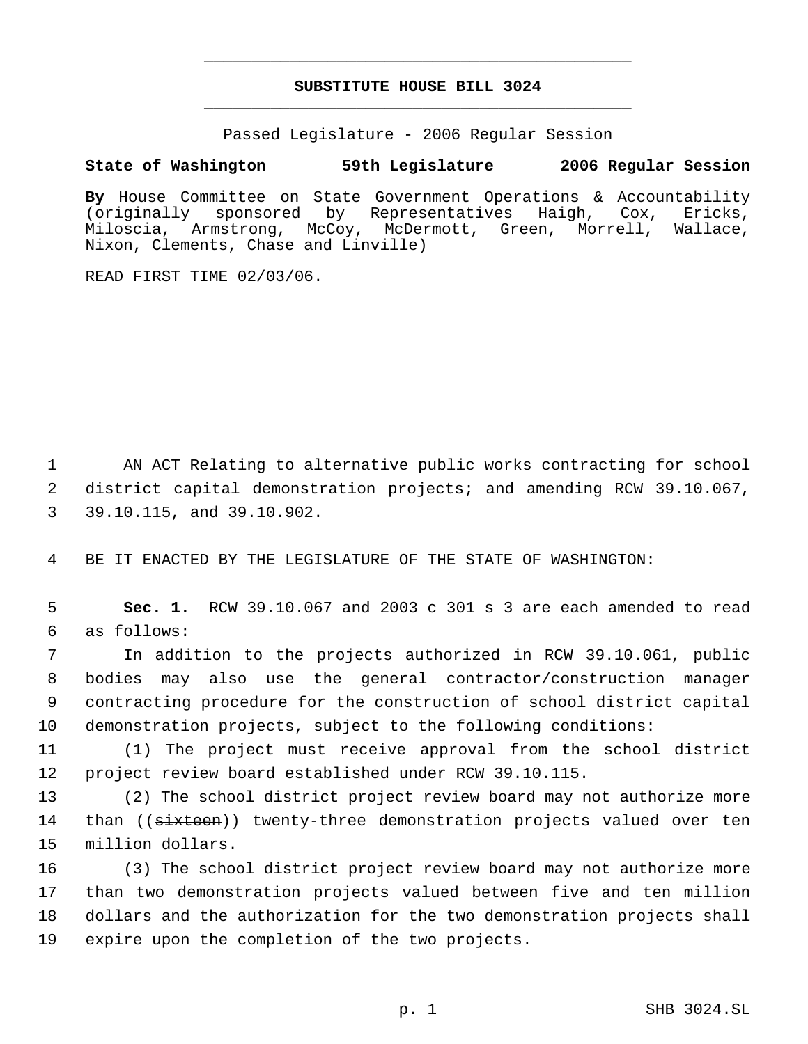## **SUBSTITUTE HOUSE BILL 3024** \_\_\_\_\_\_\_\_\_\_\_\_\_\_\_\_\_\_\_\_\_\_\_\_\_\_\_\_\_\_\_\_\_\_\_\_\_\_\_\_\_\_\_\_\_

\_\_\_\_\_\_\_\_\_\_\_\_\_\_\_\_\_\_\_\_\_\_\_\_\_\_\_\_\_\_\_\_\_\_\_\_\_\_\_\_\_\_\_\_\_

Passed Legislature - 2006 Regular Session

## **State of Washington 59th Legislature 2006 Regular Session**

**By** House Committee on State Government Operations & Accountability (originally sponsored by Representatives Haigh, Cox, Ericks, Miloscia, Armstrong, McCoy, McDermott, Green, Morrell, Wallace, Nixon, Clements, Chase and Linville)

READ FIRST TIME 02/03/06.

 1 AN ACT Relating to alternative public works contracting for school 2 district capital demonstration projects; and amending RCW 39.10.067, 3 39.10.115, and 39.10.902.

4 BE IT ENACTED BY THE LEGISLATURE OF THE STATE OF WASHINGTON:

 5 **Sec. 1.** RCW 39.10.067 and 2003 c 301 s 3 are each amended to read 6 as follows:

 In addition to the projects authorized in RCW 39.10.061, public bodies may also use the general contractor/construction manager contracting procedure for the construction of school district capital demonstration projects, subject to the following conditions:

11 (1) The project must receive approval from the school district 12 project review board established under RCW 39.10.115.

13 (2) The school district project review board may not authorize more 14 than ((sixteen)) twenty-three demonstration projects valued over ten 15 million dollars.

 (3) The school district project review board may not authorize more than two demonstration projects valued between five and ten million dollars and the authorization for the two demonstration projects shall expire upon the completion of the two projects.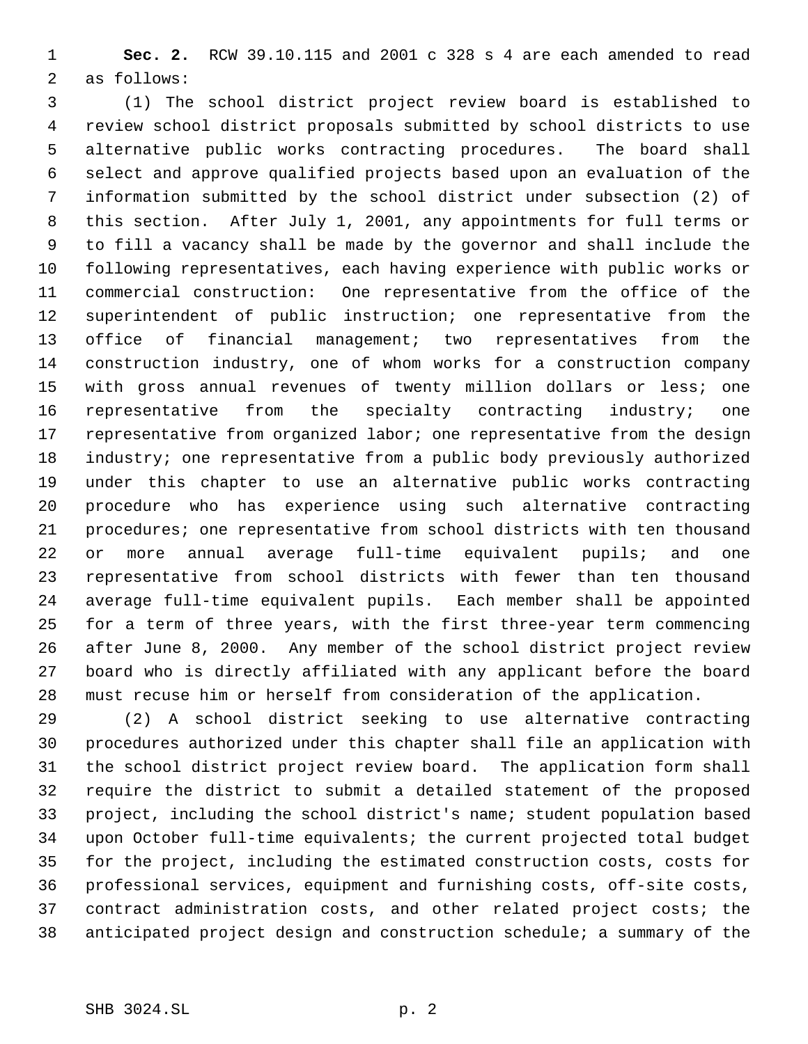**Sec. 2.** RCW 39.10.115 and 2001 c 328 s 4 are each amended to read as follows:

 (1) The school district project review board is established to review school district proposals submitted by school districts to use alternative public works contracting procedures. The board shall select and approve qualified projects based upon an evaluation of the information submitted by the school district under subsection (2) of this section. After July 1, 2001, any appointments for full terms or to fill a vacancy shall be made by the governor and shall include the following representatives, each having experience with public works or commercial construction: One representative from the office of the superintendent of public instruction; one representative from the office of financial management; two representatives from the construction industry, one of whom works for a construction company with gross annual revenues of twenty million dollars or less; one 16 representative from the specialty contracting industry; one 17 representative from organized labor; one representative from the design industry; one representative from a public body previously authorized under this chapter to use an alternative public works contracting procedure who has experience using such alternative contracting procedures; one representative from school districts with ten thousand or more annual average full-time equivalent pupils; and one representative from school districts with fewer than ten thousand average full-time equivalent pupils. Each member shall be appointed for a term of three years, with the first three-year term commencing after June 8, 2000. Any member of the school district project review board who is directly affiliated with any applicant before the board must recuse him or herself from consideration of the application.

 (2) A school district seeking to use alternative contracting procedures authorized under this chapter shall file an application with the school district project review board. The application form shall require the district to submit a detailed statement of the proposed project, including the school district's name; student population based upon October full-time equivalents; the current projected total budget for the project, including the estimated construction costs, costs for professional services, equipment and furnishing costs, off-site costs, contract administration costs, and other related project costs; the anticipated project design and construction schedule; a summary of the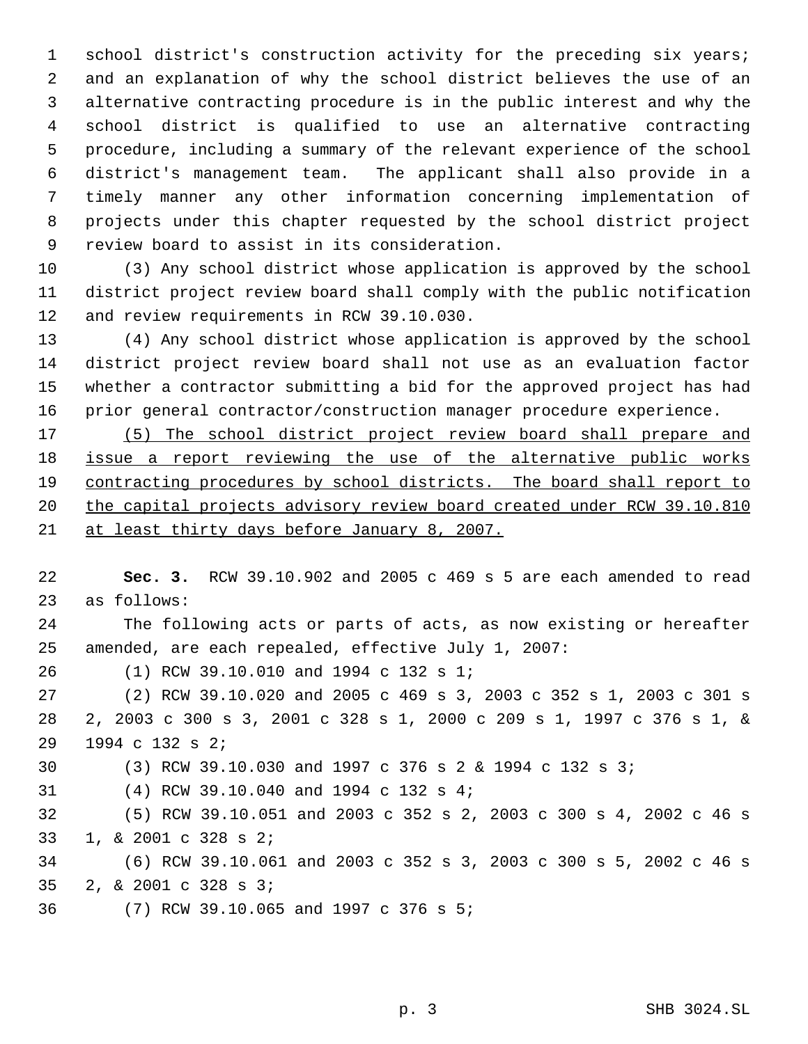school district's construction activity for the preceding six years; and an explanation of why the school district believes the use of an alternative contracting procedure is in the public interest and why the school district is qualified to use an alternative contracting procedure, including a summary of the relevant experience of the school district's management team. The applicant shall also provide in a timely manner any other information concerning implementation of projects under this chapter requested by the school district project review board to assist in its consideration.

 (3) Any school district whose application is approved by the school district project review board shall comply with the public notification and review requirements in RCW 39.10.030.

 (4) Any school district whose application is approved by the school district project review board shall not use as an evaluation factor whether a contractor submitting a bid for the approved project has had prior general contractor/construction manager procedure experience.

 (5) The school district project review board shall prepare and 18 issue a report reviewing the use of the alternative public works contracting procedures by school districts. The board shall report to 20 the capital projects advisory review board created under RCW 39.10.810 at least thirty days before January 8, 2007.

 **Sec. 3.** RCW 39.10.902 and 2005 c 469 s 5 are each amended to read as follows: The following acts or parts of acts, as now existing or hereafter amended, are each repealed, effective July 1, 2007: (1) RCW 39.10.010 and 1994 c 132 s 1; (2) RCW 39.10.020 and 2005 c 469 s 3, 2003 c 352 s 1, 2003 c 301 s 2, 2003 c 300 s 3, 2001 c 328 s 1, 2000 c 209 s 1, 1997 c 376 s 1, & 1994 c 132 s 2; (3) RCW 39.10.030 and 1997 c 376 s 2 & 1994 c 132 s 3; (4) RCW 39.10.040 and 1994 c 132 s 4; (5) RCW 39.10.051 and 2003 c 352 s 2, 2003 c 300 s 4, 2002 c 46 s 1, & 2001 c 328 s 2; (6) RCW 39.10.061 and 2003 c 352 s 3, 2003 c 300 s 5, 2002 c 46 s 2, & 2001 c 328 s 3; (7) RCW 39.10.065 and 1997 c 376 s 5;